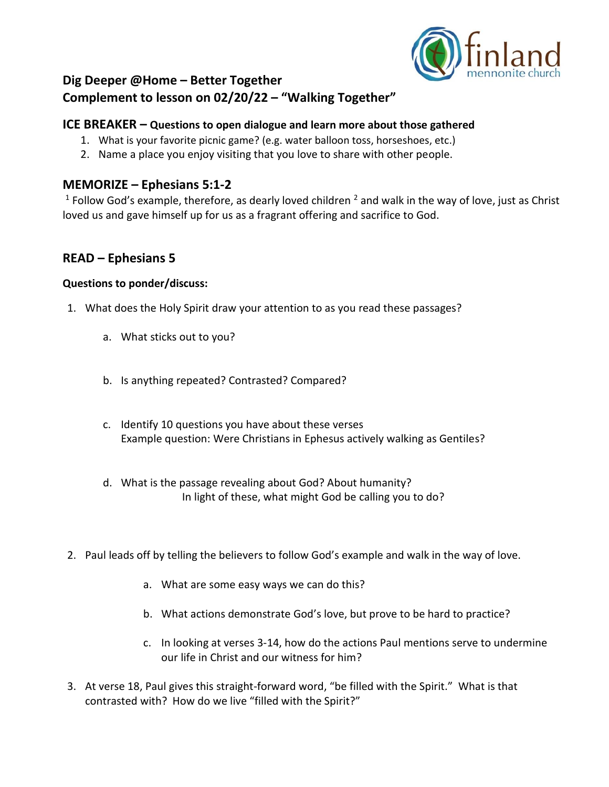

# **Dig Deeper @Home – Better Together Complement to lesson on 02/20/22 – "Walking Together"**

## **ICE BREAKER – Questions to open dialogue and learn more about those gathered**

- 1. What is your favorite picnic game? (e.g. water balloon toss, horseshoes, etc.)
- 2. Name a place you enjoy visiting that you love to share with other people.

### **MEMORIZE – Ephesians 5:1-2**

<sup>1</sup> Follow God's example, therefore, as dearly loved children  $^2$  and walk in the way of love, just as Christ loved us and gave himself up for us as a fragrant offering and sacrifice to God.

## **READ – Ephesians 5**

#### **Questions to ponder/discuss:**

- 1. What does the Holy Spirit draw your attention to as you read these passages?
	- a. What sticks out to you?
	- b. Is anything repeated? Contrasted? Compared?
	- c. Identify 10 questions you have about these verses Example question: Were Christians in Ephesus actively walking as Gentiles?
	- d. What is the passage revealing about God? About humanity? In light of these, what might God be calling you to do?
- 2. Paul leads off by telling the believers to follow God's example and walk in the way of love.
	- a. What are some easy ways we can do this?
	- b. What actions demonstrate God's love, but prove to be hard to practice?
	- c. In looking at verses 3-14, how do the actions Paul mentions serve to undermine our life in Christ and our witness for him?
- 3. At verse 18, Paul gives this straight-forward word, "be filled with the Spirit." What is that contrasted with? How do we live "filled with the Spirit?"